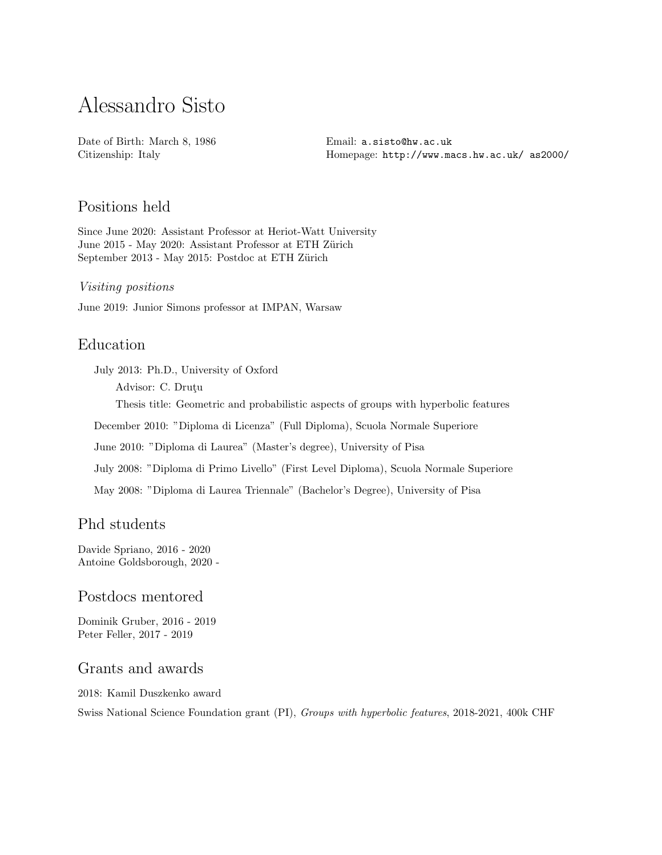# Alessandro Sisto

Date of Birth: March 8, 1986 Citizenship: Italy

Email: [a.sisto@hw.ac.uk](mailto:a.sisto@hw.ac.uk) Homepage: [http://www.macs.hw.ac.uk/ as2000/](http://www.macs.hw.ac.uk/~as2000/)

# Positions held

Since June 2020: Assistant Professor at Heriot-Watt University June 2015 - May 2020: Assistant Professor at ETH Zürich September 2013 - May 2015: Postdoc at ETH Zürich

Visiting positions

June 2019: Junior Simons professor at IMPAN, Warsaw

# Education

July 2013: Ph.D., University of Oxford

Advisor: C. Drutu

Thesis title: Geometric and probabilistic aspects of groups with hyperbolic features

December 2010: "Diploma di Licenza" (Full Diploma), Scuola Normale Superiore

June 2010: "Diploma di Laurea" (Master's degree), University of Pisa

July 2008: "Diploma di Primo Livello" (First Level Diploma), Scuola Normale Superiore

May 2008: "Diploma di Laurea Triennale" (Bachelor's Degree), University of Pisa

# Phd students

Davide Spriano, 2016 - 2020 Antoine Goldsborough, 2020 -

#### Postdocs mentored

Dominik Gruber, 2016 - 2019 Peter Feller, 2017 - 2019

# Grants and awards

2018: Kamil Duszkenko award

Swiss National Science Foundation grant (PI), Groups with hyperbolic features, 2018-2021, 400k CHF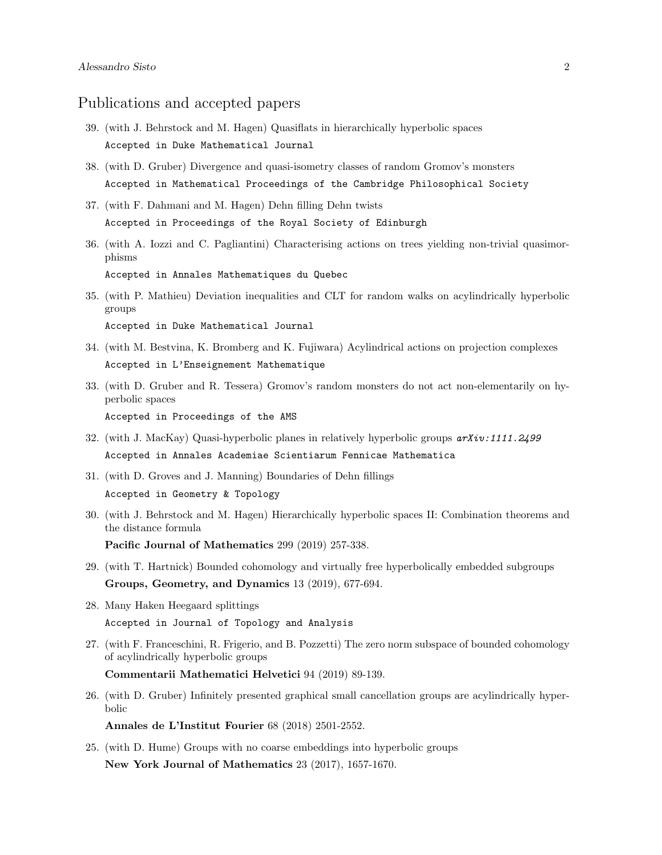#### Publications and accepted papers

- 39. (with J. Behrstock and M. Hagen) Quasiflats in hierarchically hyperbolic spaces Accepted in Duke Mathematical Journal
- 38. (with D. Gruber) Divergence and quasi-isometry classes of random Gromov's monsters Accepted in Mathematical Proceedings of the Cambridge Philosophical Society
- 37. (with F. Dahmani and M. Hagen) Dehn filling Dehn twists Accepted in Proceedings of the Royal Society of Edinburgh
- 36. (with A. Iozzi and C. Pagliantini) Characterising actions on trees yielding non-trivial quasimorphisms Accepted in Annales Mathematiques du Quebec
- 35. (with P. Mathieu) Deviation inequalities and CLT for random walks on acylindrically hyperbolic groups Accepted in Duke Mathematical Journal
- 34. (with M. Bestvina, K. Bromberg and K. Fujiwara) Acylindrical actions on projection complexes Accepted in L'Enseignement Mathematique
- 33. (with D. Gruber and R. Tessera) Gromov's random monsters do not act non-elementarily on hyperbolic spaces Accepted in Proceedings of the AMS
- 32. (with J. MacKay) Quasi-hyperbolic planes in relatively hyperbolic groups  $arXiv:1111.2499$ Accepted in Annales Academiae Scientiarum Fennicae Mathematica
- 31. (with D. Groves and J. Manning) Boundaries of Dehn fillings Accepted in Geometry & Topology
- 30. (with J. Behrstock and M. Hagen) Hierarchically hyperbolic spaces II: Combination theorems and the distance formula Pacific Journal of Mathematics 299 (2019) 257-338.
- 29. (with T. Hartnick) Bounded cohomology and virtually free hyperbolically embedded subgroups Groups, Geometry, and Dynamics 13 (2019), 677-694.
- 28. Many Haken Heegaard splittings Accepted in Journal of Topology and Analysis
- 27. (with F. Franceschini, R. Frigerio, and B. Pozzetti) The zero norm subspace of bounded cohomology of acylindrically hyperbolic groups

Commentarii Mathematici Helvetici 94 (2019) 89-139.

26. (with D. Gruber) Infinitely presented graphical small cancellation groups are acylindrically hyperbolic

Annales de L'Institut Fourier 68 (2018) 2501-2552.

25. (with D. Hume) Groups with no coarse embeddings into hyperbolic groups New York Journal of Mathematics 23 (2017), 1657-1670.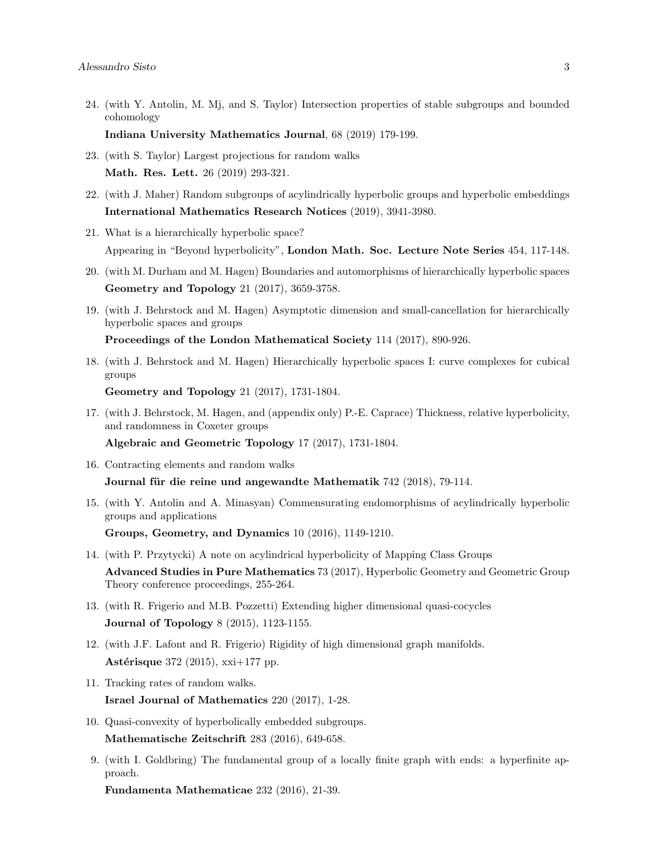24. (with Y. Antolin, M. Mj, and S. Taylor) Intersection properties of stable subgroups and bounded cohomology

Indiana University Mathematics Journal, 68 (2019) 179-199.

- 23. (with S. Taylor) Largest projections for random walks Math. Res. Lett. 26 (2019) 293-321.
- 22. (with J. Maher) Random subgroups of acylindrically hyperbolic groups and hyperbolic embeddings International Mathematics Research Notices (2019), 3941-3980.
- 21. What is a hierarchically hyperbolic space? Appearing in "Beyond hyperbolicity", London Math. Soc. Lecture Note Series 454, 117-148.
- 20. (with M. Durham and M. Hagen) Boundaries and automorphisms of hierarchically hyperbolic spaces Geometry and Topology 21 (2017), 3659-3758.
- 19. (with J. Behrstock and M. Hagen) Asymptotic dimension and small-cancellation for hierarchically hyperbolic spaces and groups

Proceedings of the London Mathematical Society 114 (2017), 890-926.

18. (with J. Behrstock and M. Hagen) Hierarchically hyperbolic spaces I: curve complexes for cubical groups

Geometry and Topology 21 (2017), 1731-1804.

17. (with J. Behrstock, M. Hagen, and (appendix only) P.-E. Caprace) Thickness, relative hyperbolicity, and randomness in Coxeter groups

[Algebraic and Geometric Topology](http://msp.org/agt/2017/17-2/p04.xhtml) 17 (2017), 1731-1804.

- 16. Contracting elements and random walks Journal für die reine und angewandte Mathematik 742 (2018), 79-114.
- 15. (with Y. Antolin and A. Minasyan) Commensurating endomorphisms of acylindrically hyperbolic groups and applications

[Groups, Geometry, and Dynamics](http://www.ems-ph.org/journals/show_abstract.php?issn=1661-7207&vol=10&iss=4&rank=3) 10 (2016), 1149-1210.

- 14. (with P. Przytycki) A note on acylindrical hyperbolicity of Mapping Class Groups Advanced Studies in Pure Mathematics 73 (2017), Hyperbolic Geometry and Geometric Group Theory conference proceedings, 255-264.
- 13. (with R. Frigerio and M.B. Pozzetti) Extending higher dimensional quasi-cocycles [Journal of Topology](http://msp.org/agt/2017/17-2/p04.xhtml) 8 (2015), 1123-1155.
- 12. (with J.F. Lafont and R. Frigerio) Rigidity of high dimensional graph manifolds. Astérisque  $372$  (2015), xxi+177 pp.
- 11. Tracking rates of random walks. Israel Journal of Mathematics 220 (2017), 1-28.
- 10. Quasi-convexity of hyperbolically embedded subgroups. [Mathematische Zeitschrift](https://link.springer.com/article/10.1007%2Fs00209-016-1615-z) 283 (2016), 649-658.
- 9. (with I. Goldbring) The fundamental group of a locally finite graph with ends: a hyperfinite approach.

[Fundamenta Mathematicae](https://www.impan.pl/pl/wydawnictwa/czasopisma-i-serie-wydawnicze/fundamenta-mathematicae/all/232/1/91190/the-fundamental-group-of-a-locally-finite-graph-with-ends-a-hyperfinite-approach) 232 (2016), 21-39.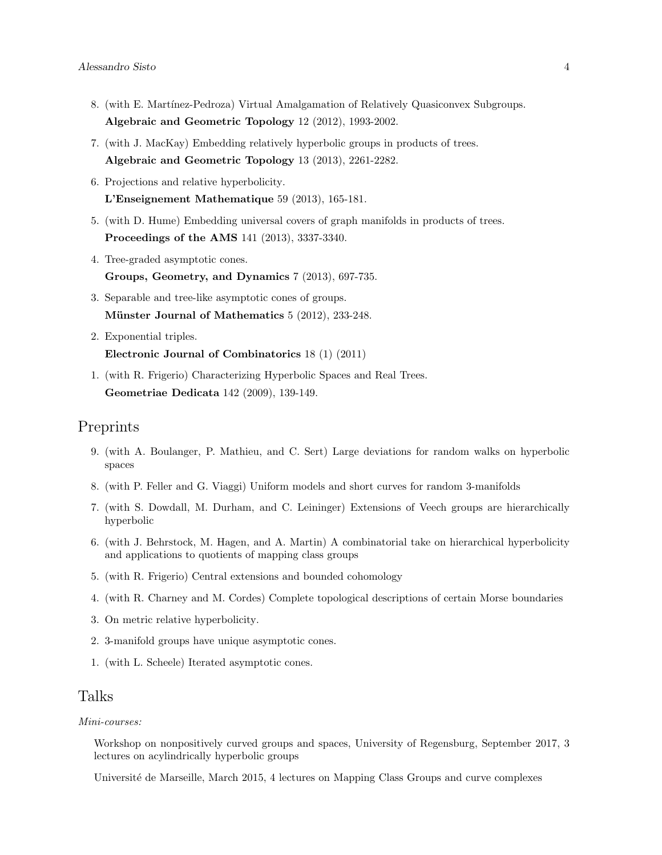- 8. (with E. Martínez-Pedroza) Virtual Amalgamation of Relatively Quasiconvex Subgroups. [Algebraic and Geometric Topology](http://www.msp.warwick.ac.uk/agt/2012/12-04/p075.xhtml) 12 (2012), 1993-2002.
- 7. (with J. MacKay) Embedding relatively hyperbolic groups in products of trees. [Algebraic and Geometric Topology](http://www.msp.warwick.ac.uk/agt/2013/13-04/p072.xhtml) 13 (2013), 2261-2282.
- 6. Projections and relative hyperbolicity. [L'Enseignement Mathematique](http://arxiv.org/abs/1010.4552) 59 (2013), 165-181.
- 5. (with D. Hume) Embedding universal covers of graph manifolds in products of trees. [Proceedings of the AMS](http://www.ams.org/journals/proc/2013-141-10/S0002-9939-2013-11669-2/home.html) 141 (2013), 3337-3340.
- 4. Tree-graded asymptotic cones. [Groups, Geometry, and Dynamics](http://www.ems-ph.org/journals/show_abstract.php?issn=1661-7207&vol=7&iss=3&rank=11) 7 (2013), 697-735.
- 3. Separable and tree-like asymptotic cones of groups. Münster Journal of Mathematics  $5(2012), 233-248$ .
- 2. Exponential triples. [Electronic Journal of Combinatorics](http://www.combinatorics.org/Volume_18/PDF/v18i1p147.pdf) 18 (1) (2011)
- 1. (with R. Frigerio) Characterizing Hyperbolic Spaces and Real Trees. [Geometriae Dedicata](http://www.springerlink.com/content/0k03326512814373/) 142 (2009), 139-149.

#### Preprints

- 9. (with A. Boulanger, P. Mathieu, and C. Sert) Large deviations for random walks on hyperbolic spaces
- 8. (with P. Feller and G. Viaggi) Uniform models and short curves for random 3-manifolds
- 7. (with S. Dowdall, M. Durham, and C. Leininger) Extensions of Veech groups are hierarchically hyperbolic
- 6. (with J. Behrstock, M. Hagen, and A. Martin) A combinatorial take on hierarchical hyperbolicity and applications to quotients of mapping class groups
- 5. (with R. Frigerio) Central extensions and bounded cohomology
- 4. (with R. Charney and M. Cordes) Complete topological descriptions of certain Morse boundaries
- 3. On metric relative hyperbolicity.
- 2. 3-manifold groups have unique asymptotic cones.
- 1. (with L. Scheele) Iterated asymptotic cones.

## Talks

#### Mini-courses:

Workshop on nonpositively curved groups and spaces, University of Regensburg, September 2017, 3 lectures on acylindrically hyperbolic groups

Université de Marseille, March 2015, 4 lectures on Mapping Class Groups and curve complexes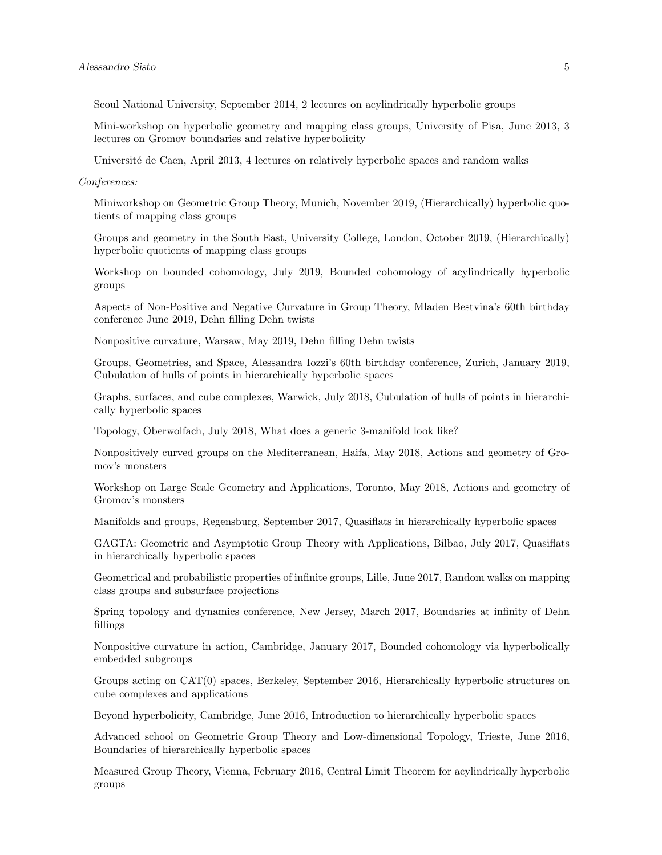Seoul National University, September 2014, 2 lectures on acylindrically hyperbolic groups

Mini-workshop on hyperbolic geometry and mapping class groups, University of Pisa, June 2013, 3 lectures on Gromov boundaries and relative hyperbolicity

Université de Caen, April 2013, 4 lectures on relatively hyperbolic spaces and random walks

#### Conferences:

Miniworkshop on Geometric Group Theory, Munich, November 2019, (Hierarchically) hyperbolic quotients of mapping class groups

Groups and geometry in the South East, University College, London, October 2019, (Hierarchically) hyperbolic quotients of mapping class groups

Workshop on bounded cohomology, July 2019, Bounded cohomology of acylindrically hyperbolic groups

Aspects of Non-Positive and Negative Curvature in Group Theory, Mladen Bestvina's 60th birthday conference June 2019, Dehn filling Dehn twists

Nonpositive curvature, Warsaw, May 2019, Dehn filling Dehn twists

Groups, Geometries, and Space, Alessandra Iozzi's 60th birthday conference, Zurich, January 2019, Cubulation of hulls of points in hierarchically hyperbolic spaces

Graphs, surfaces, and cube complexes, Warwick, July 2018, Cubulation of hulls of points in hierarchically hyperbolic spaces

Topology, Oberwolfach, July 2018, What does a generic 3-manifold look like?

Nonpositively curved groups on the Mediterranean, Haifa, May 2018, Actions and geometry of Gromov's monsters

Workshop on Large Scale Geometry and Applications, Toronto, May 2018, Actions and geometry of Gromov's monsters

Manifolds and groups, Regensburg, September 2017, Quasiflats in hierarchically hyperbolic spaces

GAGTA: Geometric and Asymptotic Group Theory with Applications, Bilbao, July 2017, Quasiflats in hierarchically hyperbolic spaces

Geometrical and probabilistic properties of infinite groups, Lille, June 2017, Random walks on mapping class groups and subsurface projections

Spring topology and dynamics conference, New Jersey, March 2017, Boundaries at infinity of Dehn fillings

Nonpositive curvature in action, Cambridge, January 2017, Bounded cohomology via hyperbolically embedded subgroups

Groups acting on CAT(0) spaces, Berkeley, September 2016, Hierarchically hyperbolic structures on cube complexes and applications

Beyond hyperbolicity, Cambridge, June 2016, Introduction to hierarchically hyperbolic spaces

Advanced school on Geometric Group Theory and Low-dimensional Topology, Trieste, June 2016, Boundaries of hierarchically hyperbolic spaces

Measured Group Theory, Vienna, February 2016, Central Limit Theorem for acylindrically hyperbolic groups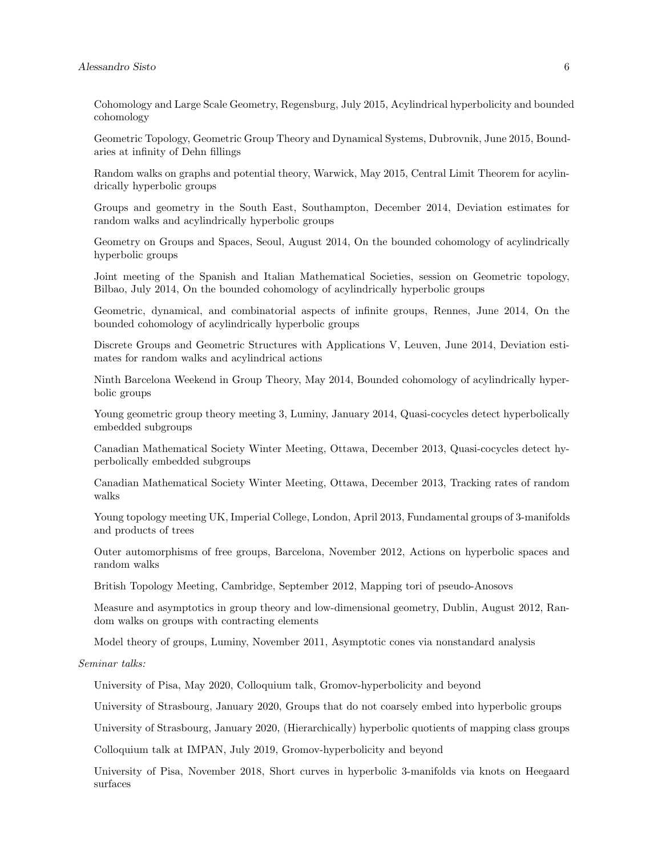Cohomology and Large Scale Geometry, Regensburg, July 2015, Acylindrical hyperbolicity and bounded cohomology

Geometric Topology, Geometric Group Theory and Dynamical Systems, Dubrovnik, June 2015, Boundaries at infinity of Dehn fillings

Random walks on graphs and potential theory, Warwick, May 2015, Central Limit Theorem for acylindrically hyperbolic groups

Groups and geometry in the South East, Southampton, December 2014, Deviation estimates for random walks and acylindrically hyperbolic groups

Geometry on Groups and Spaces, Seoul, August 2014, On the bounded cohomology of acylindrically hyperbolic groups

Joint meeting of the Spanish and Italian Mathematical Societies, session on Geometric topology, Bilbao, July 2014, On the bounded cohomology of acylindrically hyperbolic groups

Geometric, dynamical, and combinatorial aspects of infinite groups, Rennes, June 2014, On the bounded cohomology of acylindrically hyperbolic groups

Discrete Groups and Geometric Structures with Applications V, Leuven, June 2014, Deviation estimates for random walks and acylindrical actions

Ninth Barcelona Weekend in Group Theory, May 2014, Bounded cohomology of acylindrically hyperbolic groups

Young geometric group theory meeting 3, Luminy, January 2014, Quasi-cocycles detect hyperbolically embedded subgroups

Canadian Mathematical Society Winter Meeting, Ottawa, December 2013, Quasi-cocycles detect hyperbolically embedded subgroups

Canadian Mathematical Society Winter Meeting, Ottawa, December 2013, Tracking rates of random walks

Young topology meeting UK, Imperial College, London, April 2013, Fundamental groups of 3-manifolds and products of trees

Outer automorphisms of free groups, Barcelona, November 2012, Actions on hyperbolic spaces and random walks

British Topology Meeting, Cambridge, September 2012, Mapping tori of pseudo-Anosovs

Measure and asymptotics in group theory and low-dimensional geometry, Dublin, August 2012, Random walks on groups with contracting elements

Model theory of groups, Luminy, November 2011, Asymptotic cones via nonstandard analysis

Seminar talks:

University of Pisa, May 2020, Colloquium talk, Gromov-hyperbolicity and beyond

University of Strasbourg, January 2020, Groups that do not coarsely embed into hyperbolic groups

University of Strasbourg, January 2020, (Hierarchically) hyperbolic quotients of mapping class groups

Colloquium talk at IMPAN, July 2019, Gromov-hyperbolicity and beyond

University of Pisa, November 2018, Short curves in hyperbolic 3-manifolds via knots on Heegaard surfaces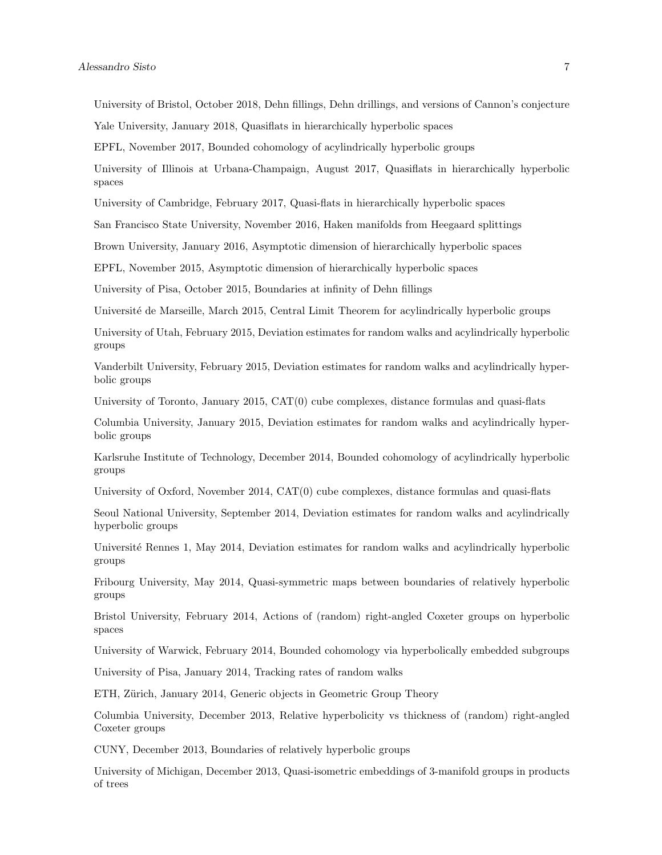University of Bristol, October 2018, Dehn fillings, Dehn drillings, and versions of Cannon's conjecture

Yale University, January 2018, Quasiflats in hierarchically hyperbolic spaces

EPFL, November 2017, Bounded cohomology of acylindrically hyperbolic groups

University of Illinois at Urbana-Champaign, August 2017, Quasiflats in hierarchically hyperbolic spaces

University of Cambridge, February 2017, Quasi-flats in hierarchically hyperbolic spaces

San Francisco State University, November 2016, Haken manifolds from Heegaard splittings

Brown University, January 2016, Asymptotic dimension of hierarchically hyperbolic spaces

EPFL, November 2015, Asymptotic dimension of hierarchically hyperbolic spaces

University of Pisa, October 2015, Boundaries at infinity of Dehn fillings

Université de Marseille, March 2015, Central Limit Theorem for acylindrically hyperbolic groups

University of Utah, February 2015, Deviation estimates for random walks and acylindrically hyperbolic groups

Vanderbilt University, February 2015, Deviation estimates for random walks and acylindrically hyperbolic groups

University of Toronto, January 2015, CAT(0) cube complexes, distance formulas and quasi-flats

Columbia University, January 2015, Deviation estimates for random walks and acylindrically hyperbolic groups

Karlsruhe Institute of Technology, December 2014, Bounded cohomology of acylindrically hyperbolic groups

University of Oxford, November 2014, CAT(0) cube complexes, distance formulas and quasi-flats

Seoul National University, September 2014, Deviation estimates for random walks and acylindrically hyperbolic groups

Université Rennes 1, May 2014, Deviation estimates for random walks and acylindrically hyperbolic groups

Fribourg University, May 2014, Quasi-symmetric maps between boundaries of relatively hyperbolic groups

Bristol University, February 2014, Actions of (random) right-angled Coxeter groups on hyperbolic spaces

University of Warwick, February 2014, Bounded cohomology via hyperbolically embedded subgroups

University of Pisa, January 2014, Tracking rates of random walks

ETH, Zürich, January 2014, Generic objects in Geometric Group Theory

Columbia University, December 2013, Relative hyperbolicity vs thickness of (random) right-angled Coxeter groups

CUNY, December 2013, Boundaries of relatively hyperbolic groups

University of Michigan, December 2013, Quasi-isometric embeddings of 3-manifold groups in products of trees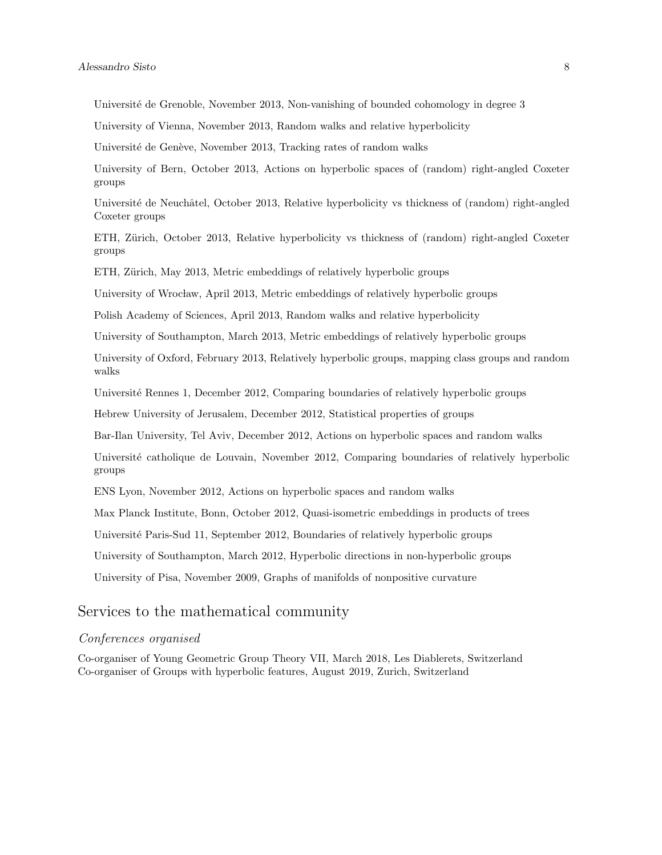Université de Grenoble, November 2013, Non-vanishing of bounded cohomology in degree 3

University of Vienna, November 2013, Random walks and relative hyperbolicity

Université de Genève, November 2013, Tracking rates of random walks

University of Bern, October 2013, Actions on hyperbolic spaces of (random) right-angled Coxeter groups

Université de Neuchâtel, October 2013, Relative hyperbolicity vs thickness of (random) right-angled Coxeter groups

ETH, Zürich, October 2013, Relative hyperbolicity vs thickness of (random) right-angled Coxeter groups

ETH, Zürich, May 2013, Metric embeddings of relatively hyperbolic groups

University of Wrocław, April 2013, Metric embeddings of relatively hyperbolic groups

Polish Academy of Sciences, April 2013, Random walks and relative hyperbolicity

University of Southampton, March 2013, Metric embeddings of relatively hyperbolic groups

University of Oxford, February 2013, Relatively hyperbolic groups, mapping class groups and random walks

Université Rennes 1, December 2012, Comparing boundaries of relatively hyperbolic groups

Hebrew University of Jerusalem, December 2012, Statistical properties of groups

Bar-Ilan University, Tel Aviv, December 2012, Actions on hyperbolic spaces and random walks

Université catholique de Louvain, November 2012, Comparing boundaries of relatively hyperbolic groups

ENS Lyon, November 2012, Actions on hyperbolic spaces and random walks

Max Planck Institute, Bonn, October 2012, Quasi-isometric embeddings in products of trees

Université Paris-Sud 11, September 2012, Boundaries of relatively hyperbolic groups

University of Southampton, March 2012, Hyperbolic directions in non-hyperbolic groups

University of Pisa, November 2009, Graphs of manifolds of nonpositive curvature

#### Services to the mathematical community

#### Conferences organised

Co-organiser of Young Geometric Group Theory VII, March 2018, Les Diablerets, Switzerland Co-organiser of Groups with hyperbolic features, August 2019, Zurich, Switzerland